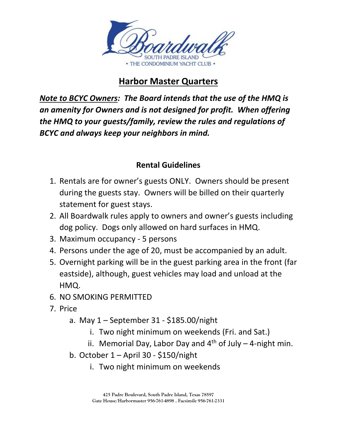

## **Harbor Master Quarters**

*Note to BCYC Owners: The Board intends that the use of the HMQ is an amenity for Owners and is not designed for profit. When offering the HMQ to your guests/family, review the rules and regulations of BCYC and always keep your neighbors in mind.*

## **Rental Guidelines**

- 1. Rentals are for owner's guests ONLY. Owners should be present during the guests stay. Owners will be billed on their quarterly statement for guest stays.
- 2. All Boardwalk rules apply to owners and owner's guests including dog policy. Dogs only allowed on hard surfaces in HMQ.
- 3. Maximum occupancy 5 persons
- 4. Persons under the age of 20, must be accompanied by an adult.
- 5. Overnight parking will be in the guest parking area in the front (far eastside), although, guest vehicles may load and unload at the HMQ.
- 6. NO SMOKING PERMITTED
- 7. Price
	- a. May 1 September 31 \$185.00/night
		- i. Two night minimum on weekends (Fri. and Sat.)
		- ii. Memorial Day, Labor Day and  $4<sup>th</sup>$  of July 4-night min.
	- b. October 1 April 30 \$150/night
		- i. Two night minimum on weekends